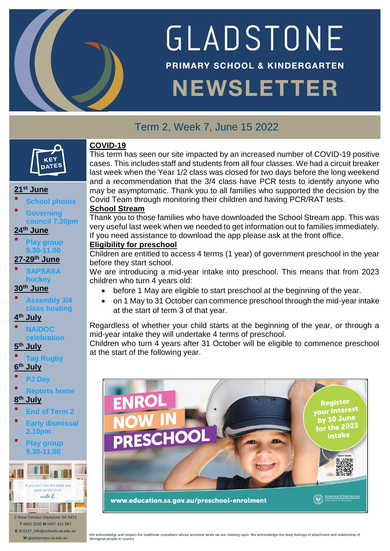

# GLADSTONE **PRIMARY SCHOOL & KINDERGARTEN**

# **NEWSLETTER**

## Term 2, Week 7, June 15 2022



### **21st June**

- **School photos**
- **Governing council 7.30pm**

## **24th June**

- **Play group 9.30-11.00**
- **27-29th June SAPSASA**

## **hockey**

## **30 th June**

- **Assembly 3/4 class hosting**
- **4 th July**
- **NAIDOC celebration**

#### **5 th July**

**Tag Rugby**

## **6 th July**

- **PJ Day**
- **Reports home**

## **8 th July**

- **End of Term 2**
- **Early dismissal 2.10pm**
- **Play group 9.30-11.00**



**T** 8662 2235 **M** 0407 411 587 **E** dl.0147\_info@schools.sa.edu.au **W** gladstoneps.sa.edu.au

## **COVID-19**

This term has seen our site impacted by an increased number of COVID-19 positive cases. This includes staff and students from all four classes. We had a circuit breaker last week when the Year 1/2 class was closed for two days before the long weekend and a recommendation that the 3/4 class have PCR tests to identify anyone who may be asymptomatic. Thank you to all families who supported the decision by the Covid Team through monitoring their children and having PCR/RAT tests.

### **School Stream**

Thank you to those families who have downloaded the School Stream app. This was very useful last week when we needed to get information out to families immediately. If you need assistance to download the app please ask at the front office.

### **Eligibility for preschool**

Children are entitled to access 4 terms (1 year) of government preschool in the year before they start school.

We are introducing a mid-year intake into preschool. This means that from 2023 children who turn 4 years old:

- before 1 May are eligible to start preschool at the beginning of the year.
- on 1 May to 31 October can commence preschool through the mid-year intake at the start of term 3 of that year.

Regardless of whether your child starts at the beginning of the year, or through a mid-year intake they will undertake 4 terms of preschool.

Children who turn 4 years after 31 October will be eligible to commence preschool at the start of the following year.

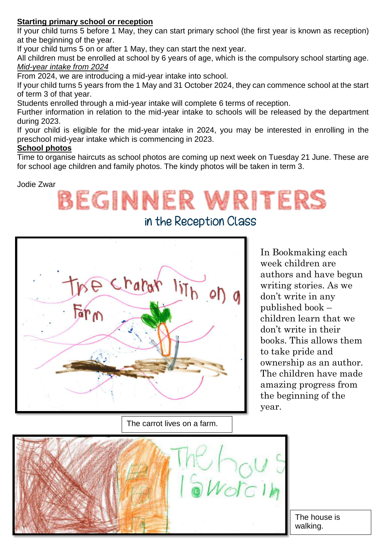## **Starting primary school or reception**

If your child turns 5 before 1 May, they can start primary school (the first year is known as reception) at the beginning of the year.

If your child turns 5 on or after 1 May, they can start the next year.

All children must be enrolled at school by 6 years of age, which is the compulsory school starting age. *Mid-year intake from 2024*

From 2024, we are introducing a mid-year intake into school.

If your child turns 5 years from the 1 May and 31 October 2024, they can commence school at the start of term 3 of that year.

Students enrolled through a mid-year intake will complete 6 terms of reception.

Further information in relation to the mid-year intake to schools will be released by the department during 2023.

If your child is eligible for the mid-year intake in 2024, you may be interested in enrolling in the preschool mid-year intake which is commencing in 2023.

### **School photos**

Time to organise haircuts as school photos are coming up next week on Tuesday 21 June. These are for school age children and family photos. The kindy photos will be taken in term 3.

Jodie Zwar

## **BEGINNER WRITERS**

in the Reception Class



The carrot lives on a farm.

In Bookmaking each week children are authors and have begun writing stories. As we don't write in any published book – children learn that we don't write in their books. This allows them to take pride and ownership as an author. The children have made amazing progress from the beginning of the year.



The house is walking.